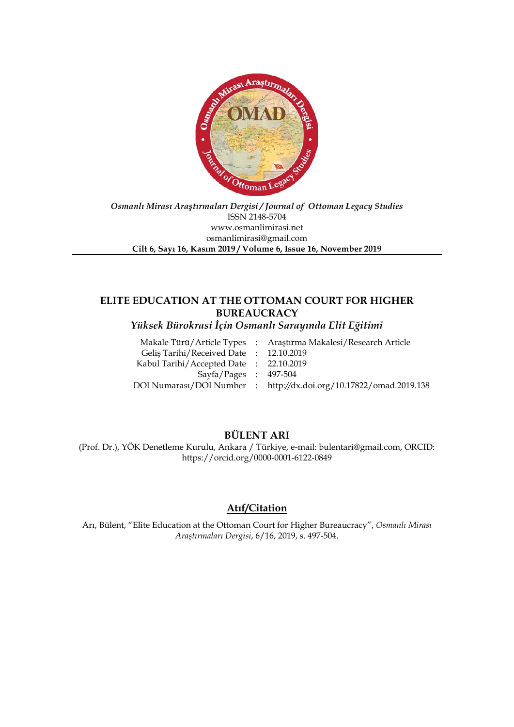

*Osmanlı Mirası Araştırmaları Dergisi / Journal of Ottoman Legacy Studies* ISSN 2148-5704 www.osmanlimirasi.net osmanlimirasi@gmail.com **Cilt 6, Sayı 16, Kasım 2019 / Volume 6, Issue 16, November 2019**

# **ELITE EDUCATION AT THE OTTOMAN COURT FOR HIGHER BUREAUCRACY**

*Yüksek Bürokrasi İçin Osmanlı Sarayında Elit Eğitimi*

|                                        | Makale Türü/Article Types : Araştırma Makalesi/Research Article    |
|----------------------------------------|--------------------------------------------------------------------|
| Gelis Tarihi/Received Date: 12.10.2019 |                                                                    |
| Kabul Tarihi/Accepted Date: 22.10.2019 |                                                                    |
| $Sayfa/Pages$ : 497-504                |                                                                    |
|                                        | DOI Numarası/DOI Number : http://dx.doi.org/10.17822/omad.2019.138 |
|                                        |                                                                    |

# **BÜLENT ARI**

(Prof. Dr.), YÖK Denetleme Kurulu, Ankara / Türkiye, e-mail: bulentari@gmail.com, ORCID: https://orcid.org/0000-0001-6122-0849

## **Atıf/Citation**

Arı, Bülent, "Elite Education at the Ottoman Court for Higher Bureaucracy", *Osmanlı Mirası Araştırmaları Dergisi*, 6/16, 2019, s. 497-504.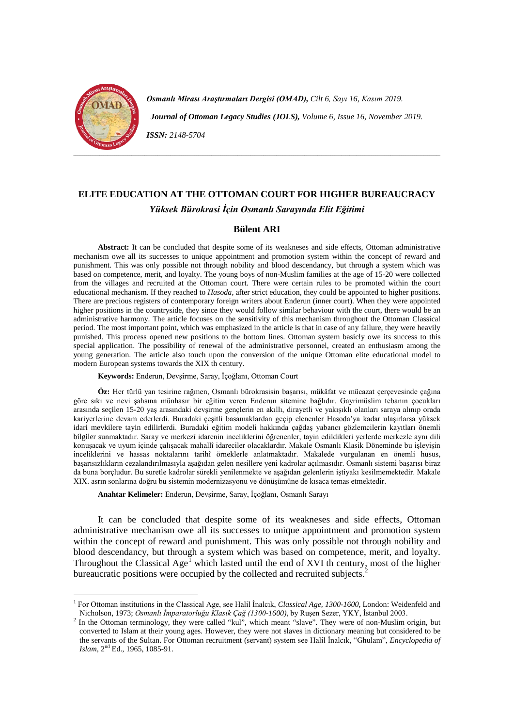

<u>.</u>

*Osmanlı Mirası Araştırmaları Dergisi (OMAD), Cilt 6, Sayı 16, Kasım 2019. Journal of Ottoman Legacy Studies (JOLS), Volume 6, Issue 16, November 2019. ISSN: 2148-5704*

# **ELITE EDUCATION AT THE OTTOMAN COURT FOR HIGHER BUREAUCRACY** *Yüksek Bürokrasi İçin Osmanlı Sarayında Elit Eğitimi*

### **Bülent ARI**

**Abstract:** It can be concluded that despite some of its weakneses and side effects, Ottoman administrative mechanism owe all its successes to unique appointment and promotion system within the concept of reward and punishment. This was only possible not through nobility and blood descendancy, but through a system which was based on competence, merit, and loyalty. The young boys of non-Muslim families at the age of 15-20 were collected from the villages and recruited at the Ottoman court. There were certain rules to be promoted within the court educational mechanism. If they reached to *Hasoda*, after strict education, they could be appointed to higher positions. There are precious registers of contemporary foreign writers about Enderun (inner court). When they were appointed higher positions in the countryside, they since they would follow similar behaviour with the court, there would be an administrative harmony. The article focuses on the sensitivity of this mechanism throughout the Ottoman Classical period. The most important point, which was emphasized in the article is that in case of any failure, they were heavily punished. This process opened new positions to the bottom lines. Ottoman system basicly owe its success to this special application. The possibility of renewal of the administrative personnel, created an enthusiasm among the young generation. The article also touch upon the conversion of the unique Ottoman elite educational model to modern European systems towards the XIX th century.

**Keywords:** Enderun, Devşirme, Saray, İçoğlanı, Ottoman Court

**Öz:** Her türlü yan tesirine rağmen, Osmanlı bürokrasisin başarısı, mükâfat ve mücazat çerçevesinde çağına göre sıkı ve nevi şahsına münhasır bir eğitim veren Enderun sitemine bağlıdır. Gayrimüslim tebanın çocukları arasında seçilen 15-20 yaş arasındaki devşirme gençlerin en akıllı, dirayetli ve yakışıklı olanları saraya alınıp orada kariyerlerine devam ederlerdi. Buradaki çeşitli basamaklardan geçip elenenler Hasoda'ya kadar ulaşırlarsa yüksek idari mevkilere tayin edilirlerdi. Buradaki eğitim modeli hakkında çağdaş yabancı gözlemcilerin kayıtları önemli bilgiler sunmaktadır. Saray ve merkezî idarenin inceliklerini öğrenenler, tayin edildikleri yerlerde merkezle aynı dili konuşacak ve uyum içinde çalışacak mahallî idareciler olacaklardır. Makale Osmanlı Klasik Döneminde bu işleyişin inceliklerini ve hassas noktalarını tarihî örneklerle anlatmaktadır. Makalede vurgulanan en önemli husus, başarısızlıkların cezalandırılmasıyla aşağıdan gelen nesillere yeni kadrolar açılmasıdır. Osmanlı sistemi başarısı biraz da buna borçludur. Bu suretle kadrolar sürekli yenilenmekte ve aşağıdan gelenlerin iştiyakı kesilmemektedir. Makale XIX. asrın sonlarına doğru bu sistemin modernizasyonu ve dönüşümüne de kısaca temas etmektedir.

**Anahtar Kelimeler:** Enderun, Devşirme, Saray, İçoğlanı, Osmanlı Sarayı

It can be concluded that despite some of its weakneses and side effects, Ottoman administrative mechanism owe all its successes to unique appointment and promotion system within the concept of reward and punishment. This was only possible not through nobility and blood descendancy, but through a system which was based on competence, merit, and loyalty. Throughout the Classical  $Age^{\mathsf{T}}$  which lasted until the end of XVI th century, most of the higher bureaucratic positions were occupied by the collected and recruited subjects.<sup>[2](#page-2-1)</sup>

<span id="page-2-0"></span><sup>&</sup>lt;sup>1</sup> For Ottoman institutions in the Classical Age, see Halil Inalcık, *Classical Age, 1300-1600*, London: Weidenfeld and Nicholson. 1973: *Osmanlı İmparatorluğu Klasik Cağ (1300-1600*), by Rusen Sezer, YKY, İstanbul 2003.

<span id="page-2-1"></span><sup>&</sup>lt;sup>2</sup> In the Ottoman terminology, they were called "kul", which meant "slave". They were of non-Muslim origin, but converted to Islam at their young ages. However, they were not slaves in dictionary meaning but considered to be the servants of the Sultan. For Ottoman recruitment (servant) system see Halil İnalcık, "Ghulam", *Encyclopedia of Islam,* 2nd Ed., 1965, 1085-91.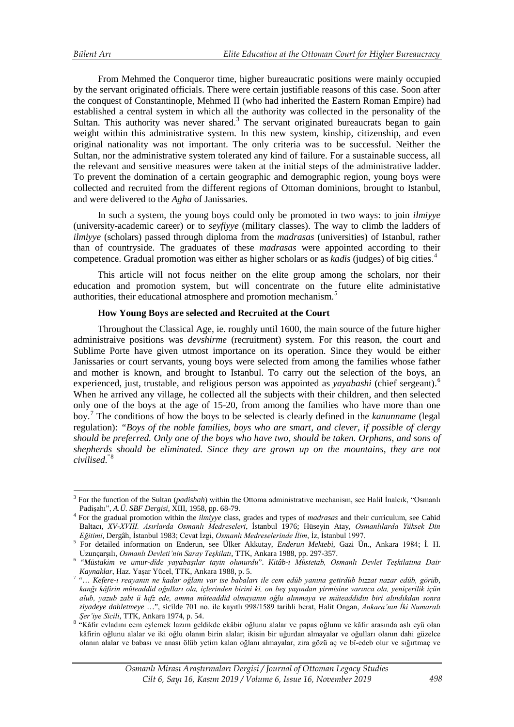From Mehmed the Conqueror time, higher bureaucratic positions were mainly occupied by the servant originated officials. There were certain justifiable reasons of this case. Soon after the conquest of Constantinople, Mehmed II (who had inherited the Eastern Roman Empire) had established a central system in which all the authority was collected in the personality of the Sultan. This authority was never shared.<sup>[3](#page-3-0)</sup> The servant originated bureaucrats began to gain weight within this administrative system. In this new system, kinship, citizenship, and even original nationality was not important. The only criteria was to be successful. Neither the Sultan, nor the administrative system tolerated any kind of failure. For a sustainable success, all the relevant and sensitive measures were taken at the initial steps of the administrative ladder. To prevent the domination of a certain geographic and demographic region, young boys were collected and recruited from the different regions of Ottoman dominions, brought to Istanbul, and were delivered to the *Agha* of Janissaries.

In such a system, the young boys could only be promoted in two ways: to join *ilmiyye* (university-academic career) or to *seyfiyye* (military classes). The way to climb the ladders of *ilmiyye* (scholars) passed through diploma from the *madrasas* (universities) of Istanbul, rather than of countryside. The graduates of these *madrasas* were appointed according to their competence. Gradual promotion was either as higher scholars or as *kadis* (judges) of big cities.[4](#page-3-1)

This article will not focus neither on the elite group among the scholars, nor their education and promotion system, but will concentrate on the future elite administative authorities, their educational atmosphere and promotion mechanism.<sup>[5](#page-3-2)</sup>

## **How Young Boys are selected and Recruited at the Court**

Throughout the Classical Age, ie. roughly until 1600, the main source of the future higher administraive positions was *devshirme* (recruitment) system. For this reason, the court and Sublime Porte have given utmost importance on its operation. Since they would be either Janissaries or court servants, young boys were selected from among the families whose father and mother is known, and brought to Istanbul. To carry out the selection of the boys, an experienced, just, trustable, and religious person was appointed as *yayabashi* (chief sergeant).[6](#page-3-3) When he arrived any village, he collected all the subjects with their children, and then selected only one of the boys at the age of 15-20, from among the families who have more than one boy.[7](#page-3-4) The conditions of how the boys to be selected is clearly defined in the *kanunname* (legal regulation): *"Boys of the noble families, boys who are smart, and clever, if possible of clergy should be preferred. Only one of the boys who have two, should be taken. Orphans, and sons of shepherds should be eliminated. Since they are grown up on the mountains, they are not civilised.*"[8](#page-3-5)

<sup>3</sup> For the function of the Sultan (*padishah*) within the Ottoma administrative mechanism, see Halil İnalcık, "Osmanlı <u>.</u>

<span id="page-3-1"></span><span id="page-3-0"></span>Padişahı", *A.Ü. SBF Dergisi*, XIII, 1958, pp. 68-79. <sup>4</sup> For the gradual promotion within the *ilmiyye* class, grades and types of *madrasas* and their curriculum, see Cahid Baltacı, *XV-XVIII. Asırlarda Osmanlı Medreseleri*, İstanbul 1976; Hüseyin Atay, *Osmanlılarda Yüksek Din* 

<span id="page-3-2"></span><sup>&</sup>lt;sup>5</sup> For detailed information on Enderun, see Ülker Akkutay, *Enderun Mektebi*, Gazi Ün., Ankara 1984; İ. H. Uzunçarşılı, *Osmanlı Devleti'nin Saray Teşkilatı*, TTK, Ankara 1988, pp. 297-357. <sup>6</sup>

<span id="page-3-3"></span> <sup>&</sup>quot;*Müstakim ve umur-dîde yayabaşılar tayin olunurdu*". *Kitâb-i Müstetab, Osmanlı Devlet Teşkilatına Dair* 

<span id="page-3-4"></span>*Kaynaklar*, Haz. Yaşar Yücel, TTK, Ankara 1988, p. 5. <sup>7</sup> "… *Kefere-i reayanın ne kadar oğlanı var ise babaları ile cem edüb yanına getirdüb bizzat nazar edüb, görüb, kanğı kâfirin müteaddid oğulları ola, içlerinden birini ki, on beş yaşından yirmisine varınca ola, yeniçerilik içün alub, yazub zabt ü hıfz ede, amma müteaddid olmayanın oğlu alınmaya ve müteaddidin biri alındıkdan sonra ziyadeye dahletmeye* …", sicilde 701 no. ile kayıtlı 998/1589 tarihli berat, Halit Ongan, *Ankara'nın İki Numaralı Şer'iye Sicili*, TTK, Ankara 1974, p. 54. <sup>8</sup> "Kâfir evladını cem eylemek lazım geldikde ekâbir oğlunu alalar ve papas oğlunu ve kâfir arasında aslı eyü olan

<span id="page-3-5"></span>kâfirin oğlunu alalar ve iki oğlu olanın birin alalar; ikisin bir uğurdan almayalar ve oğulları olanın dahi güzelce olanın alalar ve babası ve anası ölüb yetim kalan oğlanı almayalar, zira gözü aç ve bî-edeb olur ve sığırtmaç ve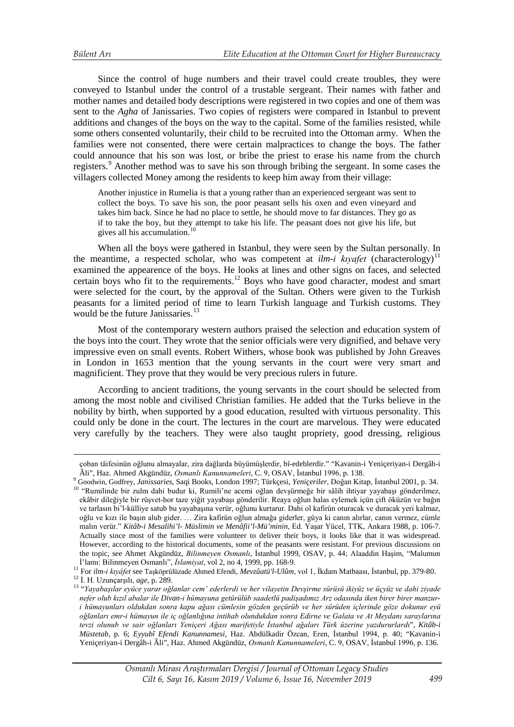$\overline{a}$ 

Since the control of huge numbers and their travel could create troubles, they were conveyed to Istanbul under the control of a trustable sergeant. Their names with father and mother names and detailed body descriptions were registered in two copies and one of them was sent to the *Agha* of Janissaries. Two copies of registers were compared in Istanbul to prevent additions and changes of the boys on the way to the capital. Some of the families resisted, while some others consented voluntarily, their child to be recruited into the Ottoman army. When the families were not consented, there were certain malpractices to change the boys. The father could announce that his son was lost, or bribe the priest to erase his name from the church registers.<sup>[9](#page-4-0)</sup> Another method was to save his son through bribing the sergeant. In some cases the villagers collected Money among the residents to keep him away from their village:

Another injustice in Rumelia is that a young rather than an experienced sergeant was sent to collect the boys. To save his son, the poor peasant sells his oxen and even vineyard and takes him back. Since he had no place to settle, he should move to far distances. They go as if to take the boy, but they attempt to take his life. The peasant does not give his life, but gives all his accumulation.<sup>[10](#page-4-1)</sup>

When all the boys were gathered in Istanbul, they were seen by the Sultan personally. In the meantime, a respected scholar, who was competent at  $ilm-i$  kivafet (characterology)<sup>[11](#page-4-2)</sup> examined the appearence of the boys. He looks at lines and other signs on faces, and selected certain boys who fit to the requirements.<sup>[12](#page-4-3)</sup> Boys who have good character, modest and smart were selected for the court, by the approval of the Sultan. Others were given to the Turkish peasants for a limited period of time to learn Turkish language and Turkish customs. They would be the future Janissaries. $13$ 

Most of the contemporary western authors praised the selection and education system of the boys into the court. They wrote that the senior officials were very dignified, and behave very impressive even on small events. Robert Withers, whose book was published by John Greaves in London in 1653 mention that the young servants in the court were very smart and magnificient. They prove that they would be very precious rulers in future.

According to ancient traditions, the young servants in the court should be selected from among the most noble and civilised Christian families. He added that the Turks believe in the nobility by birth, when supported by a good education, resulted with virtuous personality. This could only be done in the court. The lectures in the court are marvelous. They were educated very carefully by the teachers. They were also taught propriety, good dressing, religious

çoban tâifesinün oğlunu almayalar, zira dağlarda büyümüşlerdir, bî-edeblerdir." "Kavanin-i Yeniçeriyan-i Dergâh-i

<span id="page-4-1"></span><span id="page-4-0"></span>Âli", Haz. Ahmed Akgündüz, Osmanlı Kanunnameleri, C. 9, OSAV, İstanbul 1996, p. 138.<br><sup>9</sup> Goodwin, Godfrey, *Janissaries*, Saqi Books, London 1997; Türkçesi, *Yeniçeriler*, Doğan Kitap, İstanbul 2001, p. 34.<br><sup>10</sup> "Rumilinde ekâbir dileğiyle bir rüşvet-hor taze yiğit yayabaşı gönderilir. Reaya oğlun halas eylemek içün çift öküzün ve bağın ve tarlasın bi'l-külliye satub bu yayabaşına verür, oğlunu kurtarur. Dahi ol kafirün oturacak ve duracak yeri kalmaz, oğlu ve kızı ile başın alub gider. … Zira kafirün oğlun almağa giderler, güya ki canın alırlar, canın vermez, cümle malın verür." *Kitâb-i Mesalihi'l- Müslimin ve Menâfii'l-Mü'minin*, Ed. Yaşar Yücel, TTK, Ankara 1988, p. 106-7. Actually since most of the families were volunteer to deliver their boys, it looks like that it was widespread. However, according to the historical documents, some of the peasants were resistant. For previous discussions on the topic, see Ahmet Akgündüz, *Bilinmeyen Osmanlı*, İstanbul 1999, OSAV, p. 44; Alaaddin Haşim, "Malumun İ'lamı: Bilinmeyen Osmanlı", *İslamiyat*, vol 2, no 4, 1999, pp. 168-9.

<span id="page-4-3"></span><span id="page-4-2"></span><sup>&</sup>lt;sup>11</sup> For *ilm-i kıyâfet* see Taşköprülüzade Ahmed Efendi, *Mevzûatü'l-Ulûm*, vol 1, İkdam Matbaası, İstanbul, pp. 379-80.<br><sup>12</sup> İ. H. Uzunçarşılı, *age*, p. 289.<br><sup>13</sup> "Yayabasılar eyüce yarar oğlanlar cem' ederlerdi ve her

<span id="page-4-4"></span>*nefer olub kızıl abalar ile Divan-i hümayuna getürülüb saadetlü padişadımız Arz odasında iken birer birer manzuri hümayunları oldukdan sonra kapu ağası cümlesin gözden geçürüb ve her sürüden içlerinde göze dokunur eyü oğlanları emr-i hümayun ile iç oğlanlığına intihab olundukdan sonra Edirne ve Galata ve At Meydanı saraylarına tevzi olunub ve sair oğlanları Yeniçeri Ağası marifetiyle İstanbul ağaları Türk üzerine yazdururlardı*", *Kitâb-i Müstetab*, p. 6; *Eyyubî Efendi Kanunnamesi*, Haz. Abdülkadir Özcan, Eren, İstanbul 1994, p. 40; "Kavanin-i Yeniçeriyan-i Dergâh-i Âli", Haz. Ahmed Akgündüz, *Osmanlı Kanunnameleri*, C. 9, OSAV, İstanbul 1996, p. 136.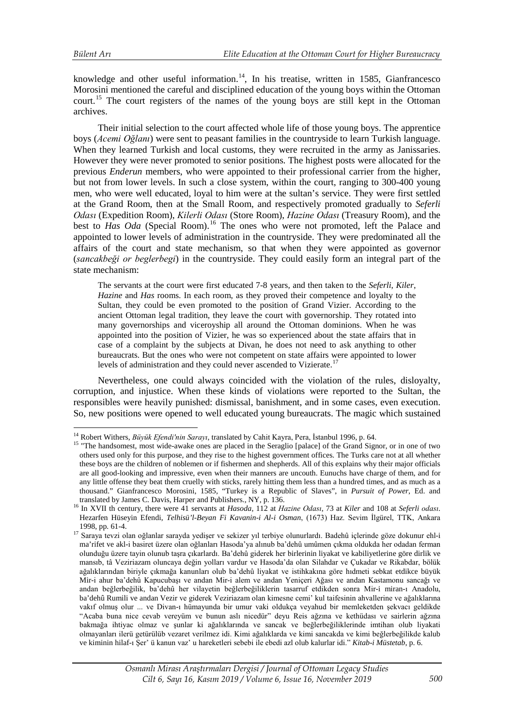knowledge and other useful information.<sup>[14](#page-5-0)</sup>, In his treatise, written in 1585, Gianfrancesco Morosini mentioned the careful and disciplined education of the young boys within the Ottoman court.<sup>[15](#page-5-1)</sup> The court registers of the names of the young boys are still kept in the Ottoman archives.

Their initial selection to the court affected whole life of those young boys. The apprentice boys (*Acemi Oğlanı*) were sent to peasant families in the countryside to learn Turkish language. When they learned Turkish and local customs, they were recruited in the army as Janissaries. However they were never promoted to senior positions. The highest posts were allocated for the previous *Enderun* members, who were appointed to their professional carrier from the higher, but not from lower levels. In such a close system, within the court, ranging to 300-400 young men, who were well educated, loyal to him were at the sultan's service. They were first settled at the Grand Room, then at the Small Room, and respectively promoted gradually to *Seferli Odası* (Expedition Room), *Kilerli Odası* (Store Room), *Hazine Odası* (Treasury Room), and the best to *Has Oda* (Special Room).<sup>[16](#page-5-2)</sup> The ones who were not promoted, left the Palace and appointed to lower levels of administration in the countryside. They were predominated all the affairs of the court and state mechanism, so that when they were appointed as governor (*sancakbeği or beglerbegi*) in the countryside. They could easily form an integral part of the state mechanism:

The servants at the court were first educated 7-8 years, and then taken to the *Seferli*, *Kiler*, *Hazine* and *Has* rooms. In each room, as they proved their competence and loyalty to the Sultan, they could be even promoted to the position of Grand Vizier. According to the ancient Ottoman legal tradition, they leave the court with governorship. They rotated into many governorships and viceroyship all around the Ottoman dominions. When he was appointed into the position of Vizier, he was so experienced about the state affairs that in case of a complaint by the subjects at Divan, he does not need to ask anything to other bureaucrats. But the ones who were not competent on state affairs were appointed to lower levels of administration and they could never ascended to Vizierate.<sup>[17](#page-5-3)</sup>

Nevertheless, one could always coincided with the violation of the rules, disloyalty, corruption, and injustice. When these kinds of violations were reported to the Sultan, the responsibles were heavily punished: dismissal, banishment, and in some cases, even execution. So, new positions were opened to well educated young bureaucrats. The magic which sustained

<span id="page-5-0"></span><sup>&</sup>lt;sup>14</sup> Robert Withers, *Büvük Efendi'nin Sarayı*, translated by Cahit Kayra, Pera, İstanbul 1996, p. 64.

<span id="page-5-1"></span><sup>&</sup>lt;sup>15</sup> "The handsomest, most wide-awake ones are placed in the Seraglio [palace] of the Grand Signor, or in one of two others used only for this purpose, and they rise to the highest government offices. The Turks care not at all whether these boys are the children of noblemen or if fishermen and shepherds. All of this explains why their major officials are all good-looking and impressive, even when their manners are uncouth. Eunuchs have charge of them, and for any little offense they beat them cruelly with sticks, rarely hitting them less than a hundred times, and as much as a thousand." Gianfrancesco Morosini, 1585, "Turkey is a Republic of Slaves", in *Pursuit of Power*, Ed. and

<span id="page-5-2"></span><sup>&</sup>lt;sup>16</sup> In XVII th century, there were 41 servants at *Hasoda*, 112 at *Hazine Odası*, 73 at *Kiler* and 108 at *Seferli odası*. Hezarfen Hüseyin Efendi, *Telhisü'l-Beyan Fi Kavanin-i Al-i Osman*, (1673) Haz. Sevim İlgürel, TTK, Ankara

<span id="page-5-3"></span><sup>17</sup> Saraya tevzi olan oğlanlar sarayda yedişer ve sekizer yıl terbiye olunurlardı. Badehû içlerinde göze dokunur ehl-i ma'rifet ve akl-i basiret üzere olan oğlanları Hasoda'ya alınub ba'dehû umûmen çıkma oldukda her odadan ferman olunduğu üzere tayin olunub taşra çıkarlardı. Ba'dehû giderek her birlerinin liyakat ve kabiliyetlerine göre dirlik ve mansıb, tâ Veziriazam oluncaya değin yolları vardur ve Hasoda'da olan Silahdar ve Çukadar ve Rikabdar, bölük ağalıklarından biriyle çıkmağa kanunları olub ba'dehû liyakat ve istihkakına göre hıdmeti sebkat etdikce büyük Mir-i ahur ba'dehû Kapucubaşı ve andan Mir-i alem ve andan Yeniçeri Ağası ve andan Kastamonu sancağı ve andan beğlerbeğilik, ba'dehû her vilayetin beğlerbeğiliklerin tasarruf etdikden sonra Mir-i miran-ı Anadolu, ba'dehû Rumili ve andan Vezir ve giderek Veziriazam olan kimesne cemi' kul taifesinin ahvallerine ve ağalıklarına vakıf olmuş olur ... ve Divan-ı hümayunda bir umur vaki oldukça veyahud bir memleketden şekvacı geldikde "Acaba buna nice cevab vereyüm ve bunun aslı nicedür" deyu Reis ağzına ve kethüdası ve sairlerin ağzına bakmağa ihtiyac olmaz ve şunlar ki ağalıklarında ve sancak ve beğlerbeğiliklerinde imtihan olub liyakati olmayanları ilerü getürülüb vezaret verilmez idi. Kimi ağalıklarda ve kimi sancakda ve kimi beğlerbeğilikde kalub ve kiminin hilaf-ı Şer' ü kanun vaz' u hareketleri sebebi ile ebedi azl olub kalurlar idi." *Kitab-i Müstetab*, p. 6.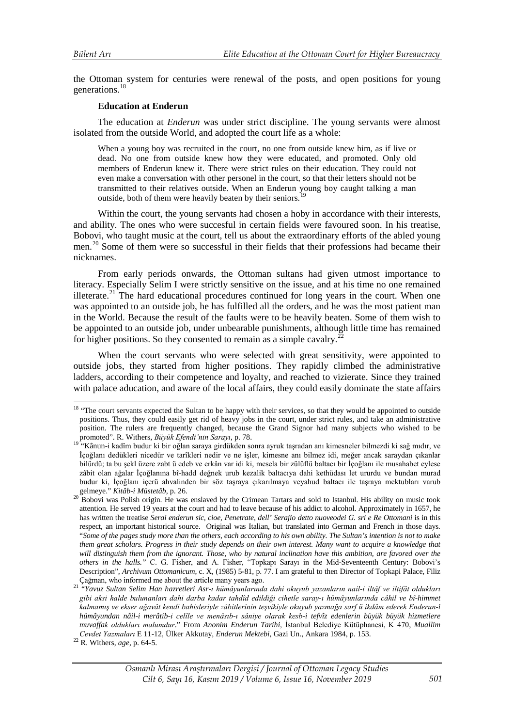<u>.</u>

the Ottoman system for centuries were renewal of the posts, and open positions for young generations.[18](#page-6-0)

### **Education at Enderun**

The education at *Enderun* was under strict discipline. The young servants were almost isolated from the outside World, and adopted the court life as a whole:

When a young boy was recruited in the court, no one from outside knew him, as if live or dead. No one from outside knew how they were educated, and promoted. Only old members of Enderun knew it. There were strict rules on their education. They could not even make a conversation with other personel in the court, so that their letters should not be transmitted to their relatives outside. When an Enderun young boy caught talking a man outside, both of them were heavily beaten by their seniors.<sup>[19](#page-6-1)</sup>

Within the court, the young servants had chosen a hoby in accordance with their interests, and ability. The ones who were succesful in certain fields were favoured soon. In his treatise, Bobovi, who taught music at the court, tell us about the extraordinary efforts of the abled young men.<sup>[20](#page-6-2)</sup> Some of them were so successful in their fields that their professions had became their nicknames.

From early periods onwards, the Ottoman sultans had given utmost importance to literacy. Especially Selim I were strictly sensitive on the issue, and at his time no one remained illeterate.<sup>[21](#page-6-3)</sup> The hard educational procedures continued for long years in the court. When one was appointed to an outside job, he has fulfilled all the orders, and he was the most patient man in the World. Because the result of the faults were to be heavily beaten. Some of them wish to be appointed to an outside job, under unbearable punishments, although little time has remained for higher positions. So they consented to remain as a simple cavalry.<sup>2</sup>

When the court servants who were selected with great sensitivity, were appointed to outside jobs, they started from higher positions. They rapidly climbed the administrative ladders, according to their competence and loyalty, and reached to vizierate. Since they trained with palace aducation, and aware of the local affairs, they could easily dominate the state affairs

<span id="page-6-0"></span><sup>&</sup>lt;sup>18</sup> "The court servants expected the Sultan to be happy with their services, so that they would be appointed to outside positions. Thus, they could easily get rid of heavy jobs in the court, under strict rules, and take an administrative position. The rulers are frequently changed, because the Grand Signor had many subjects who wished to be

<span id="page-6-1"></span>promoted". R. Withers, *Büyük Efendi'nin Sarayı*, p. 78. <sup>19</sup> "Kânun-i kadîm budur ki bir oğlan saraya girdükden sonra ayruk taşradan anı kimesneler bilmezdi ki sağ mıdır, ve İçoğlanı dedükleri nicedür ve tarîkleri nedir ve ne işler, kimesne anı bilmez idi, meğer ancak saraydan çıkanlar bilürdü; ta bu şekl üzere zabt ü edeb ve erkân var idi ki, mesela bir zülüflü baltacı bir İçoğlanı ile musahabet eylese zâbit olan ağalar İçoğlanına bî-hadd değnek urub kezalik baltacıya dahi kethüdası let ururdu ve bundan murad budur ki, İçoğlanı içerü ahvalinden bir söz taşraya çıkarılmaya veyahud baltacı ile taşraya mektubları varub

<span id="page-6-2"></span>gelmeye." *Kitâb-i Müstetâb*, p. 26.<br><sup>20</sup> Bobovi was Polish origin. He was enslaved by the Crimean Tartars and sold to Istanbul. His ability on music took attention. He served 19 years at the court and had to leave because of his addict to alcohol. Approximately in 1657, he has written the treatise *Serai enderun sic, cioe, Penetrate, dell' Serajio detto nuoveodei G. sri e Re Ottomani* is in this respect, an important historical source. Original was Italian, but translated into German and French in those days. "*Some of the pages study more than the others, each according to his own ability. The Sultan's intention is not to make them great scholars. Progress in their study depends on their own interest. Many want to acquire a knowledge that*  will distinguish them from the ignorant. Those, who by natural inclination have this ambition, are favored over the *others in the halls."* C. G. Fisher, and A. Fisher, "Topkapı Sarayı in the Mid-Seventeenth Century: Bobovi's Description", *Archivum Ottomanicum*, c. X, (1985) 5-81, p. 77. I am grateful to then Director of Topkapi Palace, Filiz Cağman, who informed me about the article many years ago.

<span id="page-6-3"></span><sup>Ç</sup>ağman, who informed me about the article many years ago. 21 "*Yavuz Sultan Selim Han hazretleri Asr-ı hümâyunlarında dahi okuyub yazanların nail-i iltâf ve iltifât oldukları gibi aksi halde bulunanları dahi darba kadar tahdîd edildiği cihetle saray-ı hümâyunlarında câhil ve bî-himmet kalmamış ve ekser ağavât kendi bahisleriyle zâbitlerinin teşvîkiyle okuyub yazmağa sarf ü ikdâm ederek Enderun-i hümâyundan nâil-i merâtib-i celîle ve menâsıb-ı sâniye olarak kesb-i tefvîz edenlerin büyük büyük hizmetlere muvaffak oldukları malumdur*." From *Anonim Enderun Tarihi*, İstanbul Belediye Kütüphanesi, K 470, *Muallim Cevdet Yazmaları* E 11-12, Ülker Akkutay, *Enderun Mektebi*, Gazi Un., Ankara 1984, p. 153. <sup>22</sup> R. Withers, *age*, p. 64-5.

<span id="page-6-4"></span>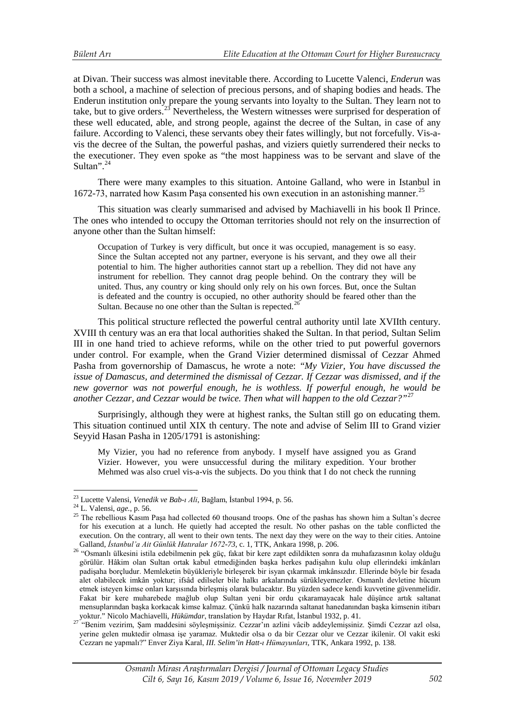at Divan. Their success was almost inevitable there. According to Lucette Valenci, *Enderun* was both a school, a machine of selection of precious persons, and of shaping bodies and heads. The Enderun institution only prepare the young servants into loyalty to the Sultan. They learn not to take, but to give orders.<sup>[23](#page-7-0)</sup> Nevertheless, the Western witnesses were surprised for desperation of these well educated, able, and strong people, against the decree of the Sultan, in case of any failure. According to Valenci, these servants obey their fates willingly, but not forcefully. Vis-avis the decree of the Sultan, the powerful pashas, and viziers quietly surrendered their necks to the executioner. They even spoke as "the most happiness was to be servant and slave of the Sultan".<sup>[24](#page-7-1)</sup>

There were many examples to this situation. Antoine Galland, who were in Istanbul in 1672-73, narrated how Kasım Paşa consented his own execution in an astonishing manner.<sup>[25](#page-7-2)</sup>

This situation was clearly summarised and advised by Machiavelli in his book Il Prince. The ones who intended to occupy the Ottoman territories should not rely on the insurrection of anyone other than the Sultan himself:

Occupation of Turkey is very difficult, but once it was occupied, management is so easy. Since the Sultan accepted not any partner, everyone is his servant, and they owe all their potential to him. The higher authorities cannot start up a rebellion. They did not have any instrument for rebellion. They cannot drag people behind. On the contrary they will be united. Thus, any country or king should only rely on his own forces. But, once the Sultan is defeated and the country is occupied, no other authority should be feared other than the Sultan. Because no one other than the Sultan is repected.<sup>[26](#page-7-3)</sup>

This political structure reflected the powerful central authority until late XVIIth century. XVIII th century was an era that local authorities shaked the Sultan. In that period, Sultan Selim III in one hand tried to achieve reforms, while on the other tried to put powerful governors under control. For example, when the Grand Vizier determined dismissal of Cezzar Ahmed Pasha from governorship of Damascus, he wrote a note: *"My Vizier, You have discussed the issue of Damascus, and determined the dismissal of Cezzar. If Cezzar was dismissed, and if the new governor was not powerful enough, he is wothless. If powerful enough, he would be another Cezzar, and Cezzar would be twice. Then what will happen to the old Cezzar?"*[27](#page-7-4)

Surprisingly, although they were at highest ranks, the Sultan still go on educating them. This situation continued until XIX th century. The note and advise of Selim III to Grand vizier Seyyid Hasan Pasha in 1205/1791 is astonishing:

My Vizier, you had no reference from anybody. I myself have assigned you as Grand Vizier. However, you were unsuccessful during the military expedition. Your brother Mehmed was also cruel vis-a-vis the subjects. Do you think that I do not check the running

<sup>&</sup>lt;sup>23</sup> Lucette Valensi, Venedik ve Bab-ı Ali, Bağlam, İstanbul 1994, p. 56.

<span id="page-7-2"></span><span id="page-7-1"></span><span id="page-7-0"></span><sup>&</sup>lt;sup>24</sup> L. Valensi, *age*., p. 56.<br><sup>25</sup> The rebellious Kasım Paşa had collected 60 thousand troops. One of the pashas has shown him a Sultan's decree for his execution at a lunch. He quietly had accepted the result. No other pashas on the table conflicted the execution. On the contrary, all went to their own tents. The next day they were on the way to their cities. Antoine

<span id="page-7-3"></span>Galland, *İstanbul'a Ait Günlük Hatıralar 1672-73*, c. 1, TTK, Ankara 1998, p. 206. <sup>26</sup> "Osmanlı ülkesini istila edebilmenin pek güç, fakat bir kere zapt edildikten sonra da muhafazasının kolay olduğu görülür. Hâkim olan Sultan ortak kabul etmediğinden başka herkes padişahın kulu olup ellerindeki imkânları padişaha borçludur. Memleketin büyükleriyle birleşerek bir isyan çıkarmak imkânsızdır. Ellerinde böyle bir fesada alet olabilecek imkân yoktur; ifsâd edilseler bile halkı arkalarında sürükleyemezler. Osmanlı devletine hücum etmek isteyen kimse onları karşısında birleşmiş olarak bulacaktır. Bu yüzden sadece kendi kuvvetine güvenmelidir. Fakat bir kere muharebede mağlub olup Sultan yeni bir ordu çıkaramayacak hale düşünce artık saltanat mensuplarından başka korkacak kimse kalmaz. Çünkü halk nazarında saltanat hanedanından başka kimsenin itibarı<br>yoktur." Nicolo Machiavelli, *Hükümdar*, translation by Haydar Rıfat, İstanbul 1932, p. 41.

<span id="page-7-4"></span>yoktur. Titesis Machiavelli, Hükümdar, Temmania yazır, Translation bul 1932, p. 41. 27 "Benim vezirim, Şam maddesini söyleşmişsiniz. Cezzar'ın azlini vâcib addeylemişsiniz. Şimdi Cezzar azl olsa, yerine gelen muktedir olmasa işe yaramaz. Muktedir olsa o da bir Cezzar olur ve Cezzar ikilenir. Ol vakit eski Cezzarı ne yapmalı?" Enver Ziya Karal, *III. Selim'in Hatt-ı Hümayunları*, TTK, Ankara 1992, p. 138.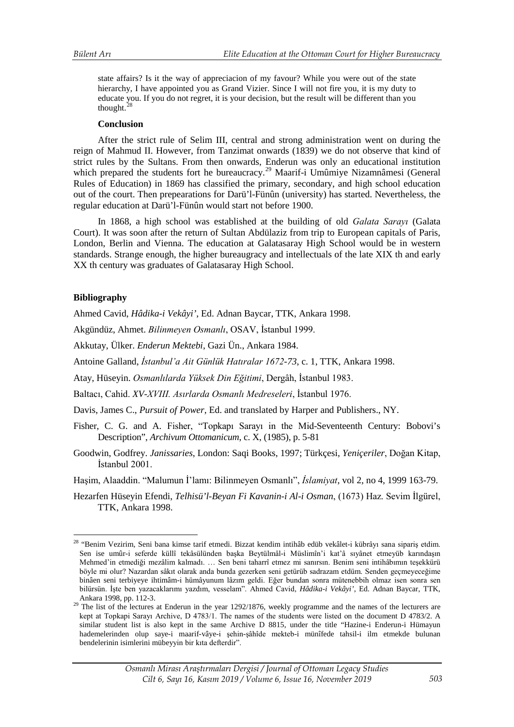state affairs? Is it the way of appreciacion of my favour? While you were out of the state hierarchy, I have appointed you as Grand Vizier. Since I will not fire you, it is my duty to educate you. If you do not regret, it is your decision, but the result will be different than you thought.<sup>2</sup>

#### **Conclusion**

After the strict rule of Selim III, central and strong administration went on during the reign of Mahmud II. However, from Tanzimat onwards (1839) we do not observe that kind of strict rules by the Sultans. From then onwards, Enderun was only an educational institution which prepared the students fort he bureaucracy.<sup>[29](#page-8-1)</sup> Maarif-i Umûmiye Nizamnâmesi (General Rules of Education) in 1869 has classified the primary, secondary, and high school education out of the court. Then prepearations for Darü'l-Fünûn (university) has started. Nevertheless, the regular education at Darü'l-Fünûn would start not before 1900.

In 1868, a high school was established at the building of old *Galata Sarayı* (Galata Court). It was soon after the return of Sultan Abdülaziz from trip to European capitals of Paris, London, Berlin and Vienna. The education at Galatasaray High School would be in western standards. Strange enough, the higher bureaugracy and intellectuals of the late XIX th and early XX th century was graduates of Galatasaray High School.

### **Bibliography**

<u>.</u>

Ahmed Cavid, *Hâdika-i Vekâyi'*, Ed. Adnan Baycar, TTK, Ankara 1998.

Akgündüz, Ahmet. *Bilinmeyen Osmanlı*, OSAV, İstanbul 1999.

Akkutay, Ülker. *Enderun Mektebi*, Gazi Ün., Ankara 1984.

Antoine Galland, *İstanbul'a Ait Günlük Hatıralar 1672-73*, c. 1, TTK, Ankara 1998.

Atay, Hüseyin. *Osmanlılarda Yüksek Din Eğitimi*, Dergâh, İstanbul 1983.

Baltacı, Cahid. *XV-XVIII. Asırlarda Osmanlı Medreseleri*, İstanbul 1976.

Davis, James C., *Pursuit of Power*, Ed. and translated by Harper and Publishers., NY.

- Fisher, C. G. and A. Fisher, "Topkapı Sarayı in the Mid-Seventeenth Century: Bobovi's Description", *Archivum Ottomanicum*, c. X, (1985), p. 5-81
- Goodwin, Godfrey. *Janissaries*, London: Saqi Books, 1997; Türkçesi, *Yeniçeriler*, Doğan Kitap, İstanbul 2001.

Haşim, Alaaddin. "Malumun İ'lamı: Bilinmeyen Osmanlı", *İslamiyat*, vol 2, no 4, 1999 163-79.

Hezarfen Hüseyin Efendi, *Telhisü'l-Beyan Fi Kavanin-i Al-i Osman*, (1673) Haz. Sevim İlgürel, TTK, Ankara 1998.

<span id="page-8-0"></span><sup>&</sup>lt;sup>28</sup> "Benim Vezirim, Seni bana kimse tarif etmedi. Bizzat kendim intihâb edüb vekâlet-i kübrâyı sana sipariş etdim. Sen ise umûr-i seferde küllî tekâsülünden başka Beytülmâl-i Müslimîn'i kat'â sıyânet etmeyüb karındaşın Mehmed'in etmediği mezâlim kalmadı. … Sen beni taharrî etmez mi sanırsın. Benim seni intihâbımın teşekkürü böyle mi olur? Nazardan sâkıt olarak anda bunda gezerken seni getürüb sadrazam etdüm. Senden geçmeyeceğime binâen seni terbiyeye ihtimâm-i hümâyunum lâzım geldi. Eğer bundan sonra mütenebbih olmaz isen sonra sen bilürsün. İşte ben yazacaklarımı yazdım, vesselam". Ahmed Cavid, *Hâdika-i Vekâyi'*, Ed. Adnan Baycar, TTK,

<span id="page-8-1"></span>Ankara 1998, pp. 112-3.<br><sup>29</sup> The list of the lectures at Enderun in the year 1292/1876, weekly programme and the names of the lecturers are kept at Topkapi Sarayı Archive, D 4783/1. The names of the students were listed on the document D 4783/2. A similar student list is also kept in the same Archive D 8815, under the title "Hazine-i Enderun-i Hümayun hademelerinden olup saye-i maarif-vâye-i şehin-şâhîde mekteb-i münîfede tahsil-i ilm etmekde bulunan bendelerinin isimlerini mübeyyin bir kıta defterdir".